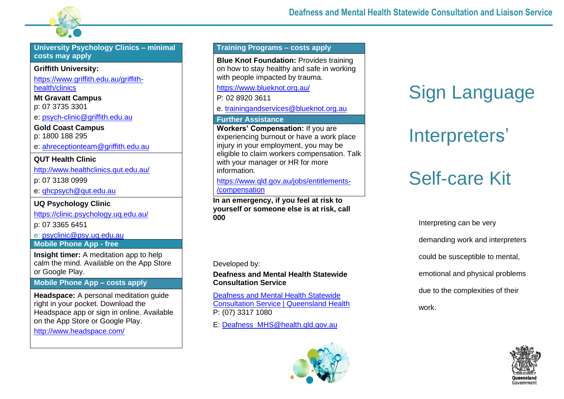

**University Psychology Clinics – minimal costs may apply**

#### **Griffith University:**

[https://www.griffith.edu.au/griffith](https://www.griffith.edu.au/griffith-health/clinics)[health/clinics](https://www.griffith.edu.au/griffith-health/clinics)

**Mt Gravatt Campus** p: 07 3735 3301

e: [psych-clinic@griffith.edu.au](mailto:psych-clinic@griffith.edu.au)

**Gold Coast Campus** p: 1800 188 295

e: [ahreceptionteam@griffith.edu.au](mailto:ahreceptionteam@griffith.edu.au)

#### **QUT Health Clinic**

<http://www.healthclinics.qut.edu.au/>

p: 07 3138 0999

e: [qhcpsych@qut.edu.au](mailto:qhcpsych@qut.edu.au)

**UQ Psychology Clinic**

<https://clinic.psychology.uq.edu.au/>

p: 07 3365 6451

e: [psyclinic@psy.uq.edu.au](mailto:psyclinic@psy.uq.edu.au)

**Mobile Phone App - free**

**Insight timer:** A meditation app to help calm the mind. Available on the App Store or Google Play.

## **Mobile Phone App – costs apply**

**Headspace:** A personal meditation guide right in your pocket. Download the Headspace app or sign in online. Available on the App Store or Google Play.

<http://www.headspace.com/>

## **Training Programs – costs apply**

**Blue Knot Foundation:** Provides training on how to stay healthy and safe in working with people impacted by trauma.

<https://www.blueknot.org.au/>

P: 02 8920 3611

e. [trainingandservices@blueknot.org.au](mailto:trainingandservices@blueknot.org.au)

#### **Further Assistance**

**Workers' Compensation:** If you are experiencing burnout or have a work place injury in your employment, you may be eligible to claim workers compensation. Talk with your manager or HR for more information.

[https://www.qld.gov.au/jobs/entitlements-](https://www.qld.gov.au/jobs/entitlements-/compensation) [/compensation](https://www.qld.gov.au/jobs/entitlements-/compensation)

**In an emergency, if you feel at risk to yourself or someone else is at risk, call 000**

Developed by:

**Deafness and Mental Health Statewide Consultation Service**

[Deafness and Mental Health Statewide](https://www.health.qld.gov.au/clinical-practice/referrals/statewide-specialist-services/deafness-and-mental-health)  [Consultation Service | Queensland Health](https://www.health.qld.gov.au/clinical-practice/referrals/statewide-specialist-services/deafness-and-mental-health) P: (07) 3317 1080

E: [Deafness\\_MHS@health.qld.gov.au](mailto:Deafness_MHS@health.qld.gov.au)



# Sign Language

# Interpreters'

# Self-care Kit

Interpreting can be very demanding work and interpreters could be susceptible to mental, emotional and physical problems due to the complexities of their work.